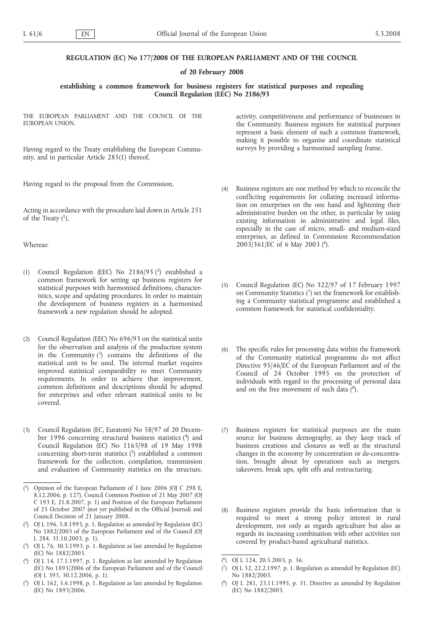## **REGULATION (EC) No 177/2008 OF THE EUROPEAN PARLIAMENT AND OF THE COUNCIL**

## **of 20 February 2008**

## **establishing a common framework for business registers for statistical purposes and repealing Council Regulation (EEC) No 2186/93**

THE EUROPEAN PARLIAMENT AND THE COUNCIL OF THE EUROPEAN UNION,

Having regard to the Treaty establishing the European Community, and in particular Article 285(1) thereof,

Having regard to the proposal from the Commission,

Acting in accordance with the procedure laid down in Article 251 of the Treaty  $(1)$ ,

Whereas:

- (1) Council Regulation (EEC) No 2186/93 (2) established a common framework for setting up business registers for statistical purposes with harmonised definitions, characteristics, scope and updating procedures. In order to maintain the development of business registers in a harmonised framework a new regulation should be adopted.
- (2) Council Regulation (EEC) No 696/93 on the statistical units for the observation and analysis of the production system in the Community (3) contains the definitions of the statistical unit to be used. The internal market requires improved statistical comparability to meet Community requirements. In order to achieve that improvement, common definitions and descriptions should be adopted for enterprises and other relevant statistical units to be covered.
- (3) Council Regulation (EC, Euratom) No 58/97 of 20 December 1996 concerning structural business statistics (4) and Council Regulation (EC) No 1165/98 of 19 May 1998 concerning short-term statistics  $(5)$  established a common framework for the collection, compilation, transmission and evaluation of Community statistics on the structure,

activity, competitiveness and performance of businesses in the Community. Business registers for statistical purposes represent a basic element of such a common framework, making it possible to organise and coordinate statistical surveys by providing a harmonised sampling frame.

- (4) Business registers are one method by which to reconcile the conflicting requirements for collating increased information on enterprises on the one hand and lightening their administrative burden on the other, in particular by using existing information in administrative and legal files, especially in the case of micro, small- and medium-sized enterprises, as defined in Commission Recommendation 2003/361/EC of 6 May 2003 (6).
- (5) Council Regulation (EC) No 322/97 of 17 February 1997 on Community Statistics  $\binom{7}{1}$  set the framework for establishing a Community statistical programme and established a common framework for statistical confidentiality.
- (6) The specific rules for processing data within the framework of the Community statistical programme do not affect Directive 95/46/EC of the European Parliament and of the Council of 24 October 1995 on the protection of individuals with regard to the processing of personal data and on the free movement of such data  $(^{8})$ .
- (7) Business registers for statistical purposes are the main source for business demography, as they keep track of business creations and closures as well as the structural changes in the economy by concentration or de-concentration, brought about by operations such as mergers, takeovers, break ups, split offs and restructuring.
- (8) Business registers provide the basic information that is required to meet a strong policy interest in rural development, not only as regards agriculture but also as regards its increasing combination with other activities not covered by product-based agricultural statistics.

<sup>(</sup> 1) Opinion of the European Parliament of 1 June 2006 (OJ C 298 E, 8.12.2006, p. 127), Council Common Position of 21 May 2007 (OJ C 193 E, 21.8.2007, p. 1) and Position of the European Parliament of 25 October 2007 (not yet published in the Official Journal) and Council Decision of 21 January 2008.

<sup>(</sup> 2) OJ L 196, 5.8.1993, p. 1. Regulation as amended by Regulation (EC) No 1882/2003 of the European Parliament and of the Council (OJ L 284, 31.10.2003, p. 1).

<sup>(</sup> 3) OJ L 76, 30.3.1993, p. 1. Regulation as last amended by Regulation (EC) No 1882/2003.

<sup>(</sup> 4) OJ L 14, 17.1.1997, p. 1. Regulation as last amended by Regulation (EC) No 1893/2006 of the European Parliament and of the Council (OJ L 393, 30.12.2006, p. 1).

<sup>(</sup> 5) OJ L 162, 5.6.1998, p. 1. Regulation as last amended by Regulation (EC) No 1893/2006.

<sup>(</sup> 6) OJ L 124, 20.5.2003, p. 36.

<sup>(</sup> 7) OJ L 52, 22.2.1997, p. 1. Regulation as amended by Regulation (EC) No 1882/2003.

 $(8)$ 8) OJ L 281, 23.11.1995, p. 31. Directive as amended by Regulation (EC) No 1882/2003.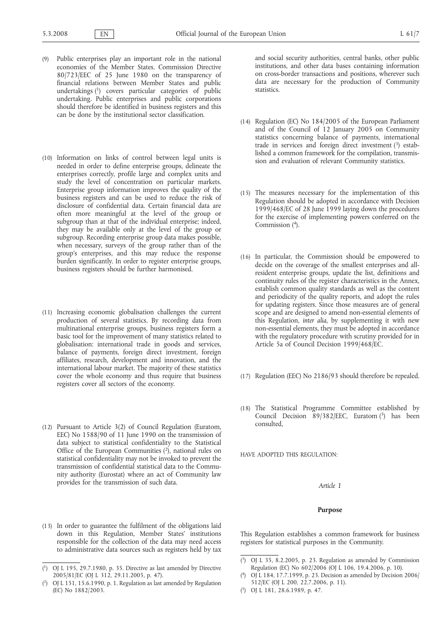- (9) Public enterprises play an important role in the national economies of the Member States. Commission Directive 80/723/EEC of 25 June 1980 on the transparency of financial relations between Member States and public undertakings (1) covers particular categories of public undertaking. Public enterprises and public corporations should therefore be identified in business registers and this can be done by the institutional sector classification.
- (10) Information on links of control between legal units is needed in order to define enterprise groups, delineate the enterprises correctly, profile large and complex units and study the level of concentration on particular markets. Enterprise group information improves the quality of the business registers and can be used to reduce the risk of disclosure of confidential data. Certain financial data are often more meaningful at the level of the group or subgroup than at that of the individual enterprise; indeed, they may be available only at the level of the group or subgroup. Recording enterprise group data makes possible, when necessary, surveys of the group rather than of the group's enterprises, and this may reduce the response burden significantly. In order to register enterprise groups, business registers should be further harmonised.
- (11) Increasing economic globalisation challenges the current production of several statistics. By recording data from multinational enterprise groups, business registers form a basic tool for the improvement of many statistics related to globalisation: international trade in goods and services, balance of payments, foreign direct investment, foreign affiliates, research, development and innovation, and the international labour market. The majority of these statistics cover the whole economy and thus require that business registers cover all sectors of the economy.
- (12) Pursuant to Article 3(2) of Council Regulation (Euratom, EEC) No 1588/90 of 11 June 1990 on the transmission of data subject to statistical confidentiality to the Statistical Office of the European Communities  $(2)$ , national rules on statistical confidentiality may not be invoked to prevent the transmission of confidential statistical data to the Community authority (Eurostat) where an act of Community law provides for the transmission of such data.
- (13) In order to guarantee the fulfilment of the obligations laid down in this Regulation, Member States' institutions responsible for the collection of the data may need access to administrative data sources such as registers held by tax

and social security authorities, central banks, other public institutions, and other data bases containing information on cross-border transactions and positions, wherever such data are necessary for the production of Community statistics.

- (14) Regulation (EC) No 184/2005 of the European Parliament and of the Council of 12 January 2005 on Community statistics concerning balance of payments, international trade in services and foreign direct investment  $(3)$  established a common framework for the compilation, transmission and evaluation of relevant Community statistics.
- (15) The measures necessary for the implementation of this Regulation should be adopted in accordance with Decision 1999/468/EC of 28 June 1999 laying down the procedures for the exercise of implementing powers conferred on the Commission (4).
- (16) In particular, the Commission should be empowered to decide on the coverage of the smallest enterprises and allresident enterprise groups, update the list, definitions and continuity rules of the register characteristics in the Annex, establish common quality standards as well as the content and periodicity of the quality reports, and adopt the rules for updating registers. Since those measures are of general scope and are designed to amend non-essential elements of this Regulation, *inter alia*, by supplementing it with new non-essential elements, they must be adopted in accordance with the regulatory procedure with scrutiny provided for in Article 5a of Council Decision 1999/468/EC.
- (17) Regulation (EEC) No 2186/93 should therefore be repealed.
- (18) The Statistical Programme Committee established by Council Decision 89/382/EEC, Euratom (5) has been consulted,

HAVE ADOPTED THIS REGULATION:

## *Article 1*

#### **Purpose**

This Regulation establishes a common framework for business registers for statistical purposes in the Community.

( 5) OJ L 181, 28.6.1989, p. 47.

<sup>(</sup> 1) OJ L 195, 29.7.1980, p. 35. Directive as last amended by Directive 2005/81/EC (OJ L 312, 29.11.2005, p. 47).

<sup>(</sup> 2) OJ L 151, 15.6.1990, p. 1. Regulation as last amended by Regulation (EC) No 1882/2003.

<sup>(</sup> 3) OJ L 35, 8.2.2005, p. 23. Regulation as amended by Commission Regulation (EC) No 602/2006 (OJ L 106, 19.4.2006, p. 10).

 $(4)$ 4) OJ L 184, 17.7.1999, p. 23. Decision as amended by Decision 2006/ 512/EC (OJ L 200, 22.7.2006, p. 11).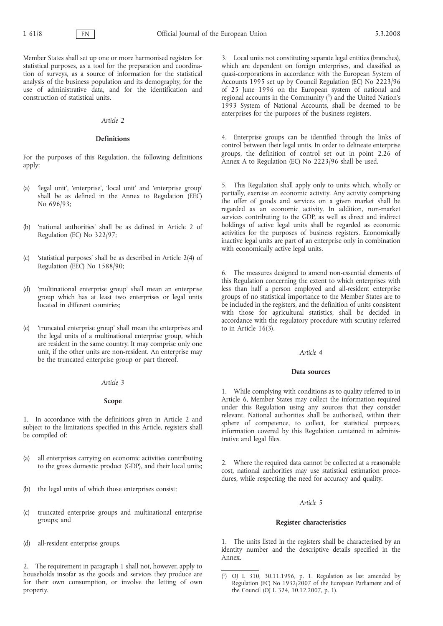Member States shall set up one or more harmonised registers for statistical purposes, as a tool for the preparation and coordination of surveys, as a source of information for the statistical analysis of the business population and its demography, for the use of administrative data, and for the identification and construction of statistical units.

## *Article 2*

## **Definitions**

For the purposes of this Regulation, the following definitions apply:

- (a) 'legal unit', 'enterprise', 'local unit' and 'enterprise group' shall be as defined in the Annex to Regulation (EEC) No 696/93;
- (b) 'national authorities' shall be as defined in Article 2 of Regulation (EC) No 322/97;
- (c) 'statistical purposes' shall be as described in Article 2(4) of Regulation (EEC) No 1588/90;
- (d) 'multinational enterprise group' shall mean an enterprise group which has at least two enterprises or legal units located in different countries;
- (e) 'truncated enterprise group' shall mean the enterprises and the legal units of a multinational enterprise group, which are resident in the same country. It may comprise only one unit, if the other units are non-resident. An enterprise may be the truncated enterprise group or part thereof.

### *Article 3*

## **Scope**

1. In accordance with the definitions given in Article 2 and subject to the limitations specified in this Article, registers shall be compiled of:

- (a) all enterprises carrying on economic activities contributing to the gross domestic product (GDP), and their local units;
- (b) the legal units of which those enterprises consist;
- (c) truncated enterprise groups and multinational enterprise groups; and
- (d) all-resident enterprise groups.

2. The requirement in paragraph 1 shall not, however, apply to households insofar as the goods and services they produce are for their own consumption, or involve the letting of own property.

3. Local units not constituting separate legal entities (branches), which are dependent on foreign enterprises, and classified as quasi-corporations in accordance with the European System of Accounts 1995 set up by Council Regulation (EC) No 2223/96 of 25 June 1996 on the European system of national and regional accounts in the Community  $(1)$  and the United Nation's 1993 System of National Accounts, shall be deemed to be enterprises for the purposes of the business registers.

4. Enterprise groups can be identified through the links of control between their legal units. In order to delineate enterprise groups, the definition of control set out in point 2.26 of Annex A to Regulation (EC) No 2223/96 shall be used.

5. This Regulation shall apply only to units which, wholly or partially, exercise an economic activity. Any activity comprising the offer of goods and services on a given market shall be regarded as an economic activity. In addition, non-market services contributing to the GDP, as well as direct and indirect holdings of active legal units shall be regarded as economic activities for the purposes of business registers. Economically inactive legal units are part of an enterprise only in combination with economically active legal units.

6. The measures designed to amend non-essential elements of this Regulation concerning the extent to which enterprises with less than half a person employed and all-resident enterprise groups of no statistical importance to the Member States are to be included in the registers, and the definition of units consistent with those for agricultural statistics, shall be decided in accordance with the regulatory procedure with scrutiny referred to in Article 16(3).

### *Article 4*

### **Data sources**

1. While complying with conditions as to quality referred to in Article 6, Member States may collect the information required under this Regulation using any sources that they consider relevant. National authorities shall be authorised, within their sphere of competence, to collect, for statistical purposes, information covered by this Regulation contained in administrative and legal files.

2. Where the required data cannot be collected at a reasonable cost, national authorities may use statistical estimation procedures, while respecting the need for accuracy and quality.

#### *Article 5*

### **Register characteristics**

1. The units listed in the registers shall be characterised by an identity number and the descriptive details specified in the Annex.

 $(1)$  $1)$  OJ L 310, 30.11.1996, p. 1. Regulation as last amended by Regulation (EC) No 1932/2007 of the European Parliament and of the Council (OJ L 324, 10.12.2007, p. 1).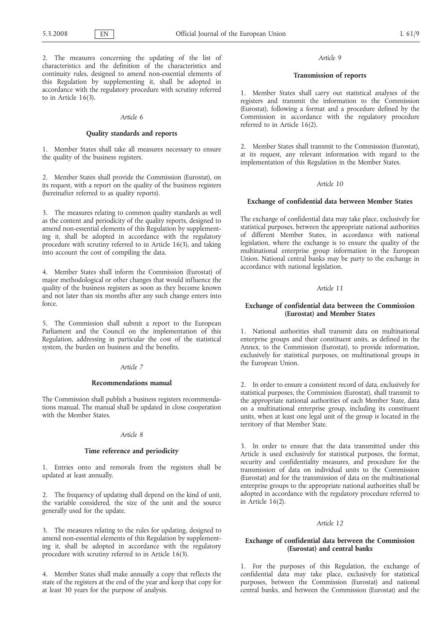2. The measures concerning the updating of the list of characteristics and the definition of the characteristics and continuity rules, designed to amend non-essential elements of this Regulation by supplementing it, shall be adopted in accordance with the regulatory procedure with scrutiny referred to in Article 16(3).

#### *Article 6*

### **Quality standards and reports**

1. Member States shall take all measures necessary to ensure the quality of the business registers.

2. Member States shall provide the Commission (Eurostat), on its request, with a report on the quality of the business registers (hereinafter referred to as quality reports).

3. The measures relating to common quality standards as well as the content and periodicity of the quality reports, designed to amend non-essential elements of this Regulation by supplementing it, shall be adopted in accordance with the regulatory procedure with scrutiny referred to in Article 16(3), and taking into account the cost of compiling the data.

4. Member States shall inform the Commission (Eurostat) of major methodological or other changes that would influence the quality of the business registers as soon as they become known and not later than six months after any such change enters into force.

5. The Commission shall submit a report to the European Parliament and the Council on the implementation of this Regulation, addressing in particular the cost of the statistical system, the burden on business and the benefits.

#### *Article 7*

#### **Recommendations manual**

The Commission shall publish a business registers recommendations manual. The manual shall be updated in close cooperation with the Member States.

## *Article 8*

### **Time reference and periodicity**

1. Entries onto and removals from the registers shall be updated at least annually.

2. The frequency of updating shall depend on the kind of unit, the variable considered, the size of the unit and the source generally used for the update.

3. The measures relating to the rules for updating, designed to amend non-essential elements of this Regulation by supplementing it, shall be adopted in accordance with the regulatory procedure with scrutiny referred to in Article 16(3).

4. Member States shall make annually a copy that reflects the state of the registers at the end of the year and keep that copy for at least 30 years for the purpose of analysis.

### *Article 9*

### **Transmission of reports**

1. Member States shall carry out statistical analyses of the registers and transmit the information to the Commission (Eurostat), following a format and a procedure defined by the Commission in accordance with the regulatory procedure referred to in Article 16(2).

2. Member States shall transmit to the Commission (Eurostat), at its request, any relevant information with regard to the implementation of this Regulation in the Member States.

## *Article 10*

### **Exchange of confidential data between Member States**

The exchange of confidential data may take place, exclusively for statistical purposes, between the appropriate national authorities of different Member States, in accordance with national legislation, where the exchange is to ensure the quality of the multinational enterprise group information in the European Union. National central banks may be party to the exchange in accordance with national legislation.

## *Article 11*

## **Exchange of confidential data between the Commission (Eurostat) and Member States**

1. National authorities shall transmit data on multinational enterprise groups and their constituent units, as defined in the Annex, to the Commission (Eurostat), to provide information, exclusively for statistical purposes, on multinational groups in the European Union.

2. In order to ensure a consistent record of data, exclusively for statistical purposes, the Commission (Eurostat), shall transmit to the appropriate national authorities of each Member State, data on a multinational enterprise group, including its constituent units, when at least one legal unit of the group is located in the territory of that Member State.

3. In order to ensure that the data transmitted under this Article is used exclusively for statistical purposes, the format, security and confidentiality measures, and procedure for the transmission of data on individual units to the Commission (Eurostat) and for the transmission of data on the multinational enterprise groups to the appropriate national authorities shall be adopted in accordance with the regulatory procedure referred to in Article 16(2).

### *Article 12*

## **Exchange of confidential data between the Commission (Eurostat) and central banks**

1. For the purposes of this Regulation, the exchange of confidential data may take place, exclusively for statistical purposes, between the Commission (Eurostat) and national central banks, and between the Commission (Eurostat) and the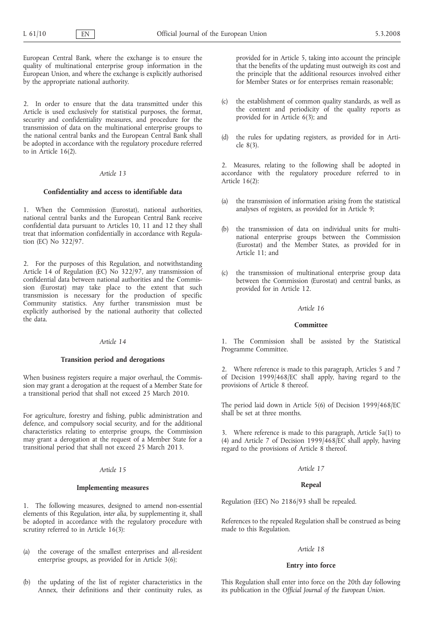European Central Bank, where the exchange is to ensure the quality of multinational enterprise group information in the European Union, and where the exchange is explicitly authorised by the appropriate national authority.

2. In order to ensure that the data transmitted under this Article is used exclusively for statistical purposes, the format, security and confidentiality measures, and procedure for the transmission of data on the multinational enterprise groups to the national central banks and the European Central Bank shall be adopted in accordance with the regulatory procedure referred to in Article 16(2).

### *Article 13*

### **Confidentiality and access to identifiable data**

1. When the Commission (Eurostat), national authorities, national central banks and the European Central Bank receive confidential data pursuant to Articles 10, 11 and 12 they shall treat that information confidentially in accordance with Regulation (EC) No 322/97.

2. For the purposes of this Regulation, and notwithstanding Article 14 of Regulation (EC) No 322/97, any transmission of confidential data between national authorities and the Commission (Eurostat) may take place to the extent that such transmission is necessary for the production of specific Community statistics. Any further transmission must be explicitly authorised by the national authority that collected the data.

## *Article 14*

### **Transition period and derogations**

When business registers require a major overhaul, the Commission may grant a derogation at the request of a Member State for a transitional period that shall not exceed 25 March 2010.

For agriculture, forestry and fishing, public administration and defence, and compulsory social security, and for the additional characteristics relating to enterprise groups, the Commission may grant a derogation at the request of a Member State for a transitional period that shall not exceed 25 March 2013.

# *Article 15*

#### **Implementing measures**

1. The following measures, designed to amend non-essential elements of this Regulation, *inter alia*, by supplementing it, shall be adopted in accordance with the regulatory procedure with scrutiny referred to in Article 16(3):

- (a) the coverage of the smallest enterprises and all-resident enterprise groups, as provided for in Article 3(6);
- (b) the updating of the list of register characteristics in the Annex, their definitions and their continuity rules, as

provided for in Article 5, taking into account the principle that the benefits of the updating must outweigh its cost and the principle that the additional resources involved either for Member States or for enterprises remain reasonable;

- (c) the establishment of common quality standards, as well as the content and periodicity of the quality reports as provided for in Article 6(3); and
- (d) the rules for updating registers, as provided for in Article 8(3).

2. Measures, relating to the following shall be adopted in accordance with the regulatory procedure referred to in Article 16(2):

- (a) the transmission of information arising from the statistical analyses of registers, as provided for in Article 9;
- (b) the transmission of data on individual units for multinational enterprise groups between the Commission (Eurostat) and the Member States, as provided for in Article 11; and
- (c) the transmission of multinational enterprise group data between the Commission (Eurostat) and central banks, as provided for in Article 12.

### *Article 16*

### **Committee**

1. The Commission shall be assisted by the Statistical Programme Committee.

2. Where reference is made to this paragraph, Articles 5 and 7 of Decision 1999/468/EC shall apply, having regard to the provisions of Article 8 thereof.

The period laid down in Article 5(6) of Decision 1999/468/EC shall be set at three months.

3. Where reference is made to this paragraph, Article 5a(1) to (4) and Article 7 of Decision 1999/468/EC shall apply, having regard to the provisions of Article 8 thereof.

## *Article 17*

## **Repeal**

Regulation (EEC) No 2186/93 shall be repealed.

References to the repealed Regulation shall be construed as being made to this Regulation.

### *Article 18*

## **Entry into force**

This Regulation shall enter into force on the 20th day following its publication in the *Official Journal of the European Union*.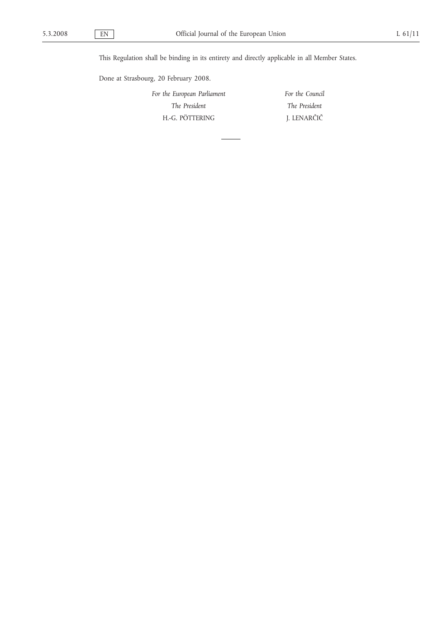This Regulation shall be binding in its entirety and directly applicable in all Member States.

Done at Strasbourg, 20 February 2008.

*For the European Parliament The President* H.-G. PÖTTERING

*For the Council The President* J. LENARČIČ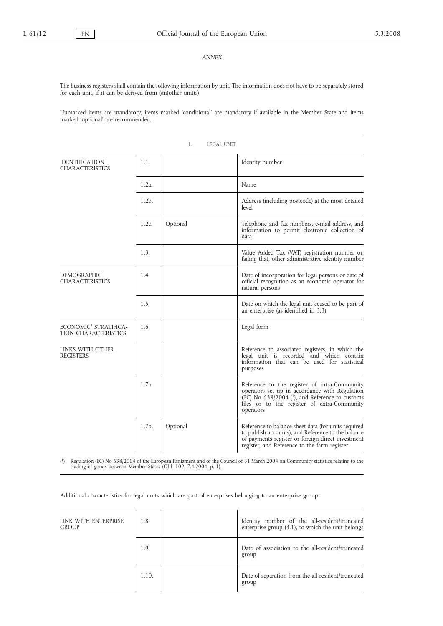#### *ANNEX*

The business registers shall contain the following information by unit. The information does not have to be separately stored for each unit, if it can be derived from (an)other unit(s).

Unmarked items are mandatory, items marked 'conditional' are mandatory if available in the Member State and items marked 'optional' are recommended.

1. LEGAL UNIT

| <b>IDENTIFICATION</b><br><b>CHARACTERISTICS</b> | 1.1.     |          | Identity number                                                                                                                                                                                                                                             |
|-------------------------------------------------|----------|----------|-------------------------------------------------------------------------------------------------------------------------------------------------------------------------------------------------------------------------------------------------------------|
|                                                 | $1.2a$ . |          | Name                                                                                                                                                                                                                                                        |
|                                                 | $1.2b$ . |          | Address (including postcode) at the most detailed<br>level                                                                                                                                                                                                  |
|                                                 | $1.2c$ . | Optional | Telephone and fax numbers, e-mail address, and<br>information to permit electronic collection of<br>data                                                                                                                                                    |
|                                                 | 1.3.     |          | Value Added Tax (VAT) registration number or,<br>failing that, other administrative identity number                                                                                                                                                         |
| <b>DEMOGRAPHIC</b><br><b>CHARACTERISTICS</b>    | 1.4.     |          | Date of incorporation for legal persons or date of<br>official recognition as an economic operator for<br>natural persons                                                                                                                                   |
|                                                 | 1.5.     |          | Date on which the legal unit ceased to be part of<br>an enterprise (as identified in 3.3)                                                                                                                                                                   |
| ECONOMIC/ STRATIFICA-<br>TION CHARACTERISTICS   | 1.6.     |          | Legal form                                                                                                                                                                                                                                                  |
| LINKS WITH OTHER<br><b>REGISTERS</b>            |          |          | Reference to associated registers, in which the<br>legal unit is recorded and which contain<br>information that can be used for statistical<br>purposes                                                                                                     |
|                                                 | 1.7a.    |          | Reference to the register of intra-Community<br>operators set up in accordance with Regulation<br>$\left(\frac{\overline{E}C}{C}\right)$ No 638/2004 ( <sup>1</sup> ), and Reference to customs<br>files or to the register of extra-Community<br>operators |
|                                                 | $1.7b$ . | Optional | Reference to balance sheet data (for units required<br>to publish accounts), and Reference to the balance<br>of payments register or foreign direct investment<br>register, and Reference to the farm register                                              |

( 1) Regulation (EC) No 638/2004 of the European Parliament and of the Council of 31 March 2004 on Community statistics relating to the trading of goods between Member States (OJ L 102, 7.4.2004, p. 1).

Additional characteristics for legal units which are part of enterprises belonging to an enterprise group:

| LINK WITH ENTERPRISE<br><b>GROUP</b> | 1.8.  | Identity number of the all-resident/truncated<br>enterprise group (4.1), to which the unit belongs |
|--------------------------------------|-------|----------------------------------------------------------------------------------------------------|
|                                      | 1.9.  | Date of association to the all-resident/truncated<br>group                                         |
|                                      | 1.10. | Date of separation from the all-resident/truncated<br>group                                        |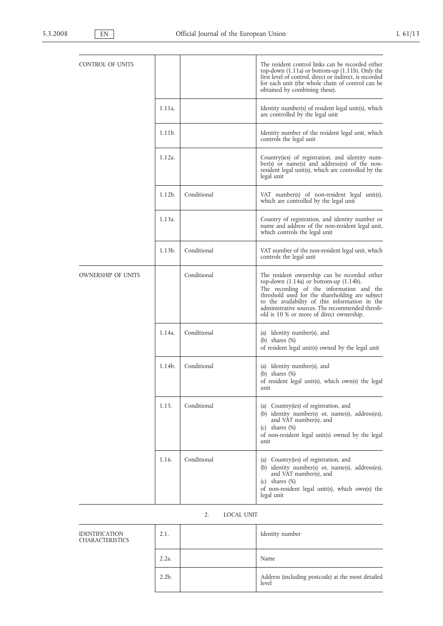| CONTROL OF UNITS   |           |             | The resident control links can be recorded either<br>top-down $(1.11a)$ or bottom-up $(1.11b)$ . Only the<br>first level of control, direct or indirect, is recorded<br>for each unit (the whole chain of control can be<br>obtained by combining these).                                                                                    |
|--------------------|-----------|-------------|----------------------------------------------------------------------------------------------------------------------------------------------------------------------------------------------------------------------------------------------------------------------------------------------------------------------------------------------|
|                    | 1.11a.    |             | Identity number(s) of resident legal unit(s), which<br>are controlled by the legal unit                                                                                                                                                                                                                                                      |
|                    | 1.11b.    |             | Identity number of the resident legal unit, which<br>controls the legal unit                                                                                                                                                                                                                                                                 |
|                    | 1.12a.    |             | Country(ies) of registration, and identity num-<br>ber(s) or name(s) and address(es) of the non-<br>resident legal unit(s), which are controlled by the<br>legal unit                                                                                                                                                                        |
|                    | $1.12b$ . | Conditional | VAT number(s) of non-resident legal unit(s),<br>which are controlled by the legal unit                                                                                                                                                                                                                                                       |
|                    | 1.13a.    |             | Country of registration, and identity number or<br>name and address of the non-resident legal unit,<br>which controls the legal unit                                                                                                                                                                                                         |
|                    | $1.13b$ . | Conditional | VAT number of the non-resident legal unit, which<br>controls the legal unit                                                                                                                                                                                                                                                                  |
| OWNERSHIP OF UNITS |           | Conditional | The resident ownership can be recorded either<br>top-down $(1.14a)$ or bottom-up $(1.14b)$ .<br>The recording of the information and the<br>threshold used for the shareholding are subject<br>to the availability of this information in the<br>administrative sources. The recommended thresh-<br>old is 10 % or more of direct ownership. |
|                    | 1.14a.    | Conditional | (a) Identity number(s), and<br>(b) shares $(\%)$<br>of resident legal unit(s) owned by the legal unit                                                                                                                                                                                                                                        |
|                    | 1.14b.    | Conditional | (a) Identity number(s), and<br>(b) shares $(\%)$<br>of resident legal unit(s), which own(s) the legal<br>unit                                                                                                                                                                                                                                |
|                    | 1.15.     | Conditional | (a) Country(ies) of registration, and<br>(b) identity number(s) or, name(s), address(es),<br>and VAT number(s), and<br>shares $(\%)$<br>(c)<br>of non-resident legal unit(s) owned by the legal<br>unit                                                                                                                                      |
|                    | 1.16.     | Conditional | (a) Country(ies) of registration, and<br>(b) identity number(s) or, name(s), address(es),<br>and VÁT number(s), and<br>shares $(\%)$<br>(c)<br>of non-resident legal unit(s), which own(s) the<br>legal unit                                                                                                                                 |

# 2. LOCAL UNIT

| <b>IDENTIFICATION</b><br><b>CHARACTERISTICS</b> | 2.1.     | Identity number                                            |
|-------------------------------------------------|----------|------------------------------------------------------------|
|                                                 | $2.2a$ . | Name                                                       |
|                                                 | $2.2b$ . | Address (including postcode) at the most detailed<br>level |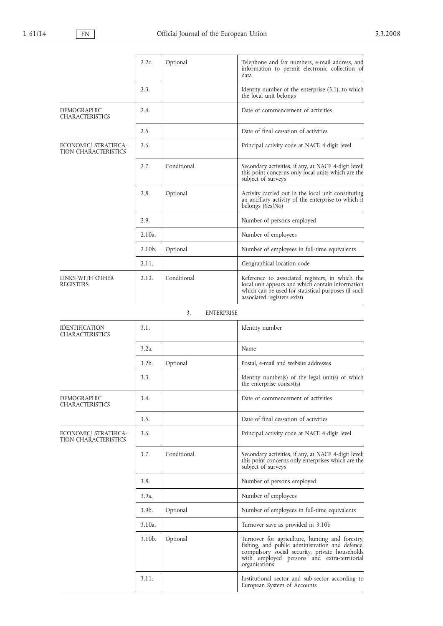|                                                      | $2.2c$ .  | Optional                | Telephone and fax numbers, e-mail address, and<br>information to permit electronic collection of<br>data                                                                                                             |
|------------------------------------------------------|-----------|-------------------------|----------------------------------------------------------------------------------------------------------------------------------------------------------------------------------------------------------------------|
|                                                      | 2.3.      |                         | Identity number of the enterprise $(3.1)$ , to which<br>the local unit belongs                                                                                                                                       |
| <b>DEMOGRAPHIC</b><br><b>CHARACTERISTICS</b>         | 2.4.      |                         | Date of commencement of activities                                                                                                                                                                                   |
|                                                      | 2.5.      |                         | Date of final cessation of activities                                                                                                                                                                                |
| ECONOMIC/ STRATIFICA-<br><b>TION CHARACTERISTICS</b> | 2.6.      |                         | Principal activity code at NACE 4-digit level                                                                                                                                                                        |
|                                                      | 2.7.      | Conditional             | Secondary activities, if any, at NACE 4-digit level;<br>this point concerns only local units which are the<br>subject of surveys                                                                                     |
|                                                      | 2.8.      | Optional                | Activity carried out in the local unit constituting<br>an ancillary activity of the enterprise to which it<br>belongs (Yes/No)                                                                                       |
|                                                      | 2.9.      |                         | Number of persons employed                                                                                                                                                                                           |
|                                                      | $2.10a$ . |                         | Number of employees                                                                                                                                                                                                  |
|                                                      | $2.10b$ . | Optional                | Number of employees in full-time equivalents                                                                                                                                                                         |
|                                                      | 2.11.     |                         | Geographical location code                                                                                                                                                                                           |
| LINKS WITH OTHER<br>REGISTERS                        | 2.12.     | Conditional             | Reference to associated registers, in which the<br>local unit appears and which contain information<br>which can be used for statistical purposes (if such<br>associated registers exist)                            |
|                                                      |           | 3.<br><b>ENTERPRISE</b> |                                                                                                                                                                                                                      |
| <b>IDENTIFICATION</b><br><b>CHARACTERISTICS</b>      | 3.1.      |                         | Identity number                                                                                                                                                                                                      |
|                                                      | $3.2a$ .  |                         | Name                                                                                                                                                                                                                 |
|                                                      | $3.2b$ .  | Optional                | Postal, e-mail and website addresses                                                                                                                                                                                 |
|                                                      | 3.3.      |                         | Identity number(s) of the legal unit(s) of which<br>the enterprise consist(s)                                                                                                                                        |
| <b>DEMOGRAPHIC</b><br><b>CHARACTERISTICS</b>         | 3.4.      |                         | Date of commencement of activities                                                                                                                                                                                   |
|                                                      | 3.5.      |                         | Date of final cessation of activities                                                                                                                                                                                |
| ECONOMIC/ STRATIFICA-<br>TION CHARACTERISTICS        | 3.6.      |                         | Principal activity code at NACE 4-digit level                                                                                                                                                                        |
|                                                      | 3.7.      | Conditional             | Secondary activities, if any, at NACE 4-digit level;<br>this point concerns only enterprises which are the<br>subject of surveys                                                                                     |
|                                                      | 3.8.      |                         | Number of persons employed                                                                                                                                                                                           |
|                                                      | 3.9a      |                         | Number of employees                                                                                                                                                                                                  |
|                                                      | $3.9b$ .  | Optional                | Number of employees in full-time equivalents                                                                                                                                                                         |
|                                                      | $3.10a$ . |                         | Turnover save as provided in 3.10b                                                                                                                                                                                   |
|                                                      | $3.10b$ . | Optional                | Turnover for agriculture, hunting and forestry,<br>fishing, and public administration and defence,<br>compulsory social security, private households<br>with employed persons and extra-territorial<br>organisations |
|                                                      | 3.11.     |                         | Institutional sector and sub-sector according to<br>European System of Accounts                                                                                                                                      |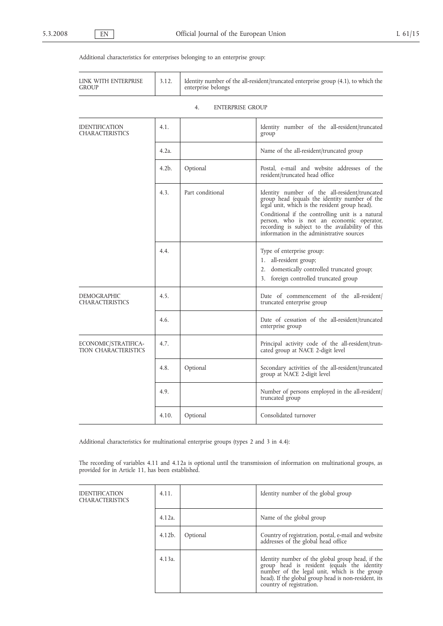IDENTIFICATION CHARACTERISTICS

# Additional characteristics for enterprises belonging to an enterprise group:

| LINK WITH ENTERPRISE<br>GROUP                       | 3.12.            | Identity number of the all-resident/truncated enterprise group (4.1), to which the<br>enterprise belongs |                                                                                                                                                                                                                                                                                                                                                   |
|-----------------------------------------------------|------------------|----------------------------------------------------------------------------------------------------------|---------------------------------------------------------------------------------------------------------------------------------------------------------------------------------------------------------------------------------------------------------------------------------------------------------------------------------------------------|
|                                                     |                  | <b>ENTERPRISE GROUP</b><br>4.                                                                            |                                                                                                                                                                                                                                                                                                                                                   |
| <b>IDENTIFICATION</b><br>CHARACTERISTICS            | 4.1.             |                                                                                                          | Identity number of the all-resident/truncated<br>group                                                                                                                                                                                                                                                                                            |
|                                                     | 4.2a.            |                                                                                                          | Name of the all-resident/truncated group                                                                                                                                                                                                                                                                                                          |
|                                                     | 4.2 <sub>b</sub> | Optional                                                                                                 | Postal, e-mail and website addresses of the<br>resident/truncated head office                                                                                                                                                                                                                                                                     |
|                                                     | 4.3.             | Part conditional                                                                                         | Identity number of the all-resident/truncated<br>group head (equals the identity number of the<br>legal unit, which is the resident group head).<br>Conditional if the controlling unit is a natural<br>person, who is not an economic operator,<br>recording is subject to the availability of this<br>information in the administrative sources |
|                                                     | 4.4.             |                                                                                                          | Type of enterprise group:<br>1. all-resident group;<br>2. domestically controlled truncated group;<br>foreign controlled truncated group<br>3.                                                                                                                                                                                                    |
| <b>DEMOGRAPHIC</b><br><b>CHARACTERISTICS</b>        | 4.5.             |                                                                                                          | Date of commencement of the all-resident/<br>truncated enterprise group                                                                                                                                                                                                                                                                           |
|                                                     | 4.6.             |                                                                                                          | Date of cessation of the all-resident/truncated<br>enterprise group                                                                                                                                                                                                                                                                               |
| ECONOMIC/STRATIFICA-<br><b>TION CHARACTERISTICS</b> | 4.7.             |                                                                                                          | Principal activity code of the all-resident/trun-<br>cated group at NACE 2-digit level                                                                                                                                                                                                                                                            |
|                                                     | 4.8.             | Optional                                                                                                 | Secondary activities of the all-resident/truncated<br>group at NACE 2-digit level                                                                                                                                                                                                                                                                 |
|                                                     | 4.9.             |                                                                                                          | Number of persons employed in the all-resident/<br>truncated group                                                                                                                                                                                                                                                                                |
|                                                     | 4.10.            | Optional                                                                                                 | Consolidated turnover                                                                                                                                                                                                                                                                                                                             |

Additional characteristics for multinational enterprise groups (types 2 and 3 in 4.4):

The recording of variables 4.11 and 4.12a is optional until the transmission of information on multinational groups, as provided for in Article 11, has been established.

| 4.11.     |          | Identity number of the global group                                                                                                                                                                                                 |
|-----------|----------|-------------------------------------------------------------------------------------------------------------------------------------------------------------------------------------------------------------------------------------|
| $4.12a$ . |          | Name of the global group                                                                                                                                                                                                            |
| $4.12b$ . | Optional | Country of registration, postal, e-mail and website<br>addresses of the global head office                                                                                                                                          |
| $4.13a$ . |          | Identity number of the global group head, if the<br>group head is resident (equals the identity<br>number of the legal unit, which is the group<br>head). If the global group head is non-resident, its<br>country of registration. |